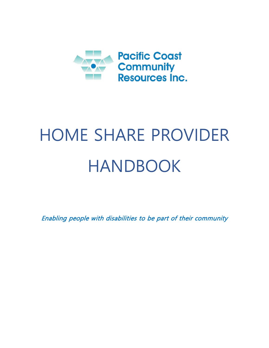

# HOME SHARE PROVIDER HANDBOOK

Enabling people with disabilities to be part of their community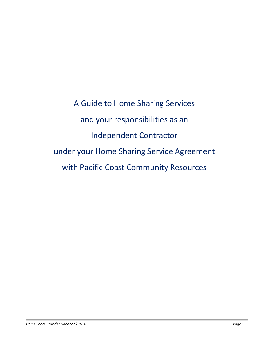A Guide to Home Sharing Services and your responsibilities as an Independent Contractor under your Home Sharing Service Agreement with Pacific Coast Community Resources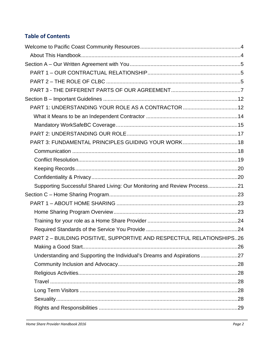# **Table of Contents**

| PART 1: UNDERSTANDING YOUR ROLE AS A CONTRACTOR 12                       |  |
|--------------------------------------------------------------------------|--|
|                                                                          |  |
|                                                                          |  |
|                                                                          |  |
| PART 3: FUNDAMENTAL PRINCIPLES GUIDING YOUR WORK18                       |  |
|                                                                          |  |
|                                                                          |  |
|                                                                          |  |
|                                                                          |  |
| Supporting Successful Shared Living: Our Monitoring and Review Process21 |  |
|                                                                          |  |
|                                                                          |  |
|                                                                          |  |
|                                                                          |  |
|                                                                          |  |
| PART 2 - BUILDING POSITIVE, SUPPORTIVE AND RESPECTFUL RELATIONSHIPS26    |  |
|                                                                          |  |
| Understanding and Supporting the Individual's Dreams and Aspirations     |  |
|                                                                          |  |
|                                                                          |  |
|                                                                          |  |
|                                                                          |  |
|                                                                          |  |
|                                                                          |  |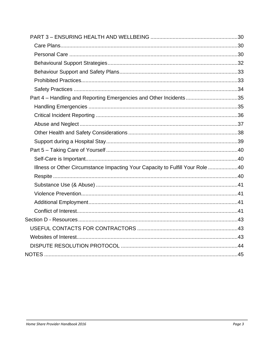| Part 4 - Handling and Reporting Emergencies and Other Incidents35             |  |
|-------------------------------------------------------------------------------|--|
|                                                                               |  |
|                                                                               |  |
|                                                                               |  |
|                                                                               |  |
|                                                                               |  |
|                                                                               |  |
|                                                                               |  |
| Illness or Other Circumstance Impacting Your Capacity to Fulfill Your Role 40 |  |
|                                                                               |  |
|                                                                               |  |
|                                                                               |  |
|                                                                               |  |
|                                                                               |  |
|                                                                               |  |
|                                                                               |  |
|                                                                               |  |
|                                                                               |  |
|                                                                               |  |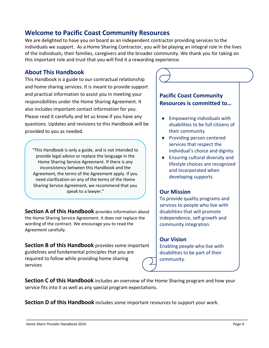# <span id="page-4-0"></span>**Welcome to Pacific Coast Community Resources**

We are delighted to have you on board as an independent contractor providing services to the individuals we support. As a Home Sharing Contractor, you will be playing an integral role in the lives of the individuals, their families, caregivers and the broader community. We thank you for taking on this important role and trust that you will find it a rewarding experience.

#### <span id="page-4-1"></span>**About This Handbook**

This Handbook is a guide to our contractual relationship and home sharing services. It is meant to provide support and practical information to assist you in meeting your responsibilities under the Home Sharing Agreement. It also includes important contact information for you. Please read it carefully and let us know if you have any questions. Updates and revisions to this Handbook will be provided to you as needed.

"This Handbook is only a guide, and is not intended to provide legal advice or replace the language in the Home Sharing Service Agreement. If there is any inconsistency between this Handbook and the Agreement, the terms of the Agreement apply. If you need clarification on any of the terms of the Home Sharing Service Agreement, we recommend that you speak to a lawyer."

**Section A of this Handbook** provides information about the Home Sharing Service Agreement. It does not replace the wording of the contract. We encourage you to read the Agreement carefully.

**Section B of this Handbook** provides some important guidelines and fundamental principles that you are required to follow while providing home sharing services

# **Pacific Coast Community Resources is committed to…** ♦ Empowering individuals with disabilities to be full citizens of their community

- ♦ Providing person centered services that respect the individual's choice and dignity
- ♦ Ensuring cultural diversity and lifestyle choices are recognized and incorporated when developing supports

#### **Our Mission**

To provide quality programs and services to people who live with disabilities that will promote independence, self-growth and community integration.

#### **Our Vision**

Enabling people who live with disabilities to be part of their community.

**Section C of this Handbook** includes an overview of the Home Sharing program and how your service fits into it as well as any special program expectations.

**Section D of this Handbook** includes some important resources to support your work.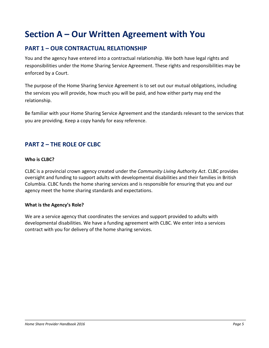# <span id="page-5-0"></span>**Section A – Our Written Agreement with You**

# <span id="page-5-1"></span>**PART 1 – OUR CONTRACTUAL RELATIONSHIP**

You and the agency have entered into a contractual relationship. We both have legal rights and responsibilities under the Home Sharing Service Agreement. These rights and responsibilities may be enforced by a Court.

The purpose of the Home Sharing Service Agreement is to set out our mutual obligations, including the services you will provide, how much you will be paid, and how either party may end the relationship.

Be familiar with your Home Sharing Service Agreement and the standards relevant to the services that you are providing. Keep a copy handy for easy reference.

# <span id="page-5-2"></span>**PART 2 – THE ROLE OF CLBC**

#### **Who is CLBC?**

CLBC is a provincial crown agency created under the *Community Living Authority Act*. CLBC provides oversight and funding to support adults with developmental disabilities and their families in British Columbia. CLBC funds the home sharing services and is responsible for ensuring that you and our agency meet the home sharing standards and expectations.

#### **What is the Agency's Role?**

We are a service agency that coordinates the services and support provided to adults with developmental disabilities. We have a funding agreement with CLBC. We enter into a services contract with you for delivery of the home sharing services.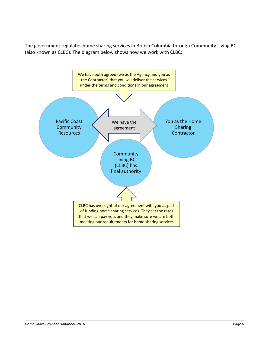The government regulates home sharing services in British Columbia through Community Living BC (also known as CLBC). The diagram below shows how we work with CLBC:

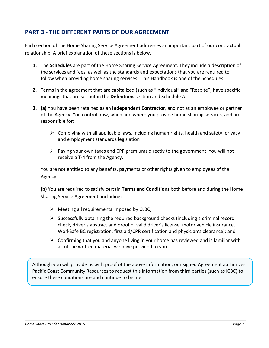# <span id="page-7-0"></span>**PART 3 - THE DIFFERENT PARTS OF OUR AGREEMENT**

Each section of the Home Sharing Service Agreement addresses an important part of our contractual relationship. A brief explanation of these sections is below.

- **1.** The **Schedules** are part of the Home Sharing Service Agreement. They include a description of the services and fees, as well as the standards and expectations that you are required to follow when providing home sharing services. This Handbook is one of the Schedules.
- **2.** Terms in the agreement that are capitalized (such as "Individual" and "Respite") have specific meanings that are set out in the **Definitions** section and Schedule A.
- **3. (a)** You have been retained as an **Independent Contractor**, and not as an employee or partner of the Agency. You control how, when and where you provide home sharing services, and are responsible for:
	- $\triangleright$  Complying with all applicable laws, including human rights, health and safety, privacy and employment standards legislation
	- $\triangleright$  Paying your own taxes and CPP premiums directly to the government. You will not receive a T-4 from the Agency.

You are not entitled to any benefits, payments or other rights given to employees of the Agency.

**(b)** You are required to satisfy certain **Terms and Conditions** both before and during the Home Sharing Service Agreement, including:

- $\triangleright$  Meeting all requirements imposed by CLBC;
- $\triangleright$  Successfully obtaining the required background checks (including a criminal record check, driver's abstract and proof of valid driver's license, motor vehicle insurance, WorkSafe BC registration, first aid/CPR certification and physician's clearance); and
- $\triangleright$  Confirming that you and anyone living in your home has reviewed and is familiar with all of the written material we have provided to you.

Although you will provide us with proof of the above information, our signed Agreement authorizes Pacific Coast Community Resources to request this information from third parties (such as ICBC) to ensure these conditions are and continue to be met.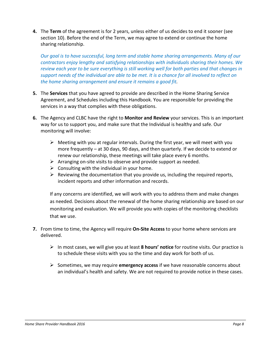**4.** The **Term** of the agreement is for 2 years, unless either of us decides to end it sooner (see section 10). Before the end of the Term, we may agree to extend or continue the home sharing relationship.

*Our goal is to have successful, long term and stable home sharing arrangements. Many of our contractors enjoy lengthy and satisfying relationships with individuals sharing their homes. We review each year to be sure everything is still working well for both parties and that changes in support needs of the individual are able to be met. It is a chance for all involved to reflect on the home sharing arrangement and ensure it remains a good fit.* 

- **5.** The **Services** that you have agreed to provide are described in the Home Sharing Service Agreement, and Schedules including this Handbook. You are responsible for providing the services in a way that complies with these obligations.
- **6.** The Agency and CLBC have the right to **Monitor and Review** your services. This is an important way for us to support you, and make sure that the Individual is healthy and safe. Our monitoring will involve:
	- $\triangleright$  Meeting with you at regular intervals. During the first year, we will meet with you more frequently – at 30 days, 90 days, and then quarterly. If we decide to extend or renew our relationship, these meetings will take place every 6 months.
	- $\triangleright$  Arranging on-site visits to observe and provide support as needed.
	- $\triangleright$  Consulting with the individual in your home.
	- $\triangleright$  Reviewing the documentation that you provide us, including the required reports, incident reports and other information and records.

If any concerns are identified, we will work with you to address them and make changes as needed. Decisions about the renewal of the home sharing relationship are based on our monitoring and evaluation. We will provide you with copies of the monitoring checklists that we use.

- **7.** From time to time, the Agency will require **On-Site Access** to your home where services are delivered.
	- In most cases, we will give you at least **8 hours' notice** for routine visits. Our practice is to schedule these visits with you so the time and day work for both of us.
	- $\triangleright$  Sometimes, we may require **emergency access** if we have reasonable concerns about an individual's health and safety. We are not required to provide notice in these cases.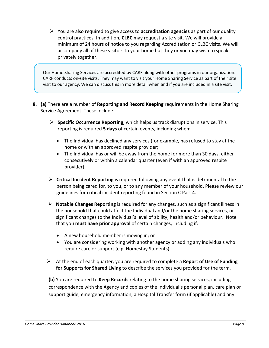You are also required to give access to **accreditation agencies** as part of our quality control practices. In addition, **CLBC** may request a site visit. We will provide a minimum of 24 hours of notice to you regarding Accreditation or CLBC visits. We will accompany all of these visitors to your home but they or you may wish to speak privately together.

Our Home Sharing Services are accredited by CARF along with other programs in our organization. CARF conducts on-site visits. They may want to visit your Home Sharing Service as part of their site visit to our agency. We can discuss this in more detail when and if you are included in a site visit.

- **8. (a)** There are a number of **Reporting and Record Keeping** requirements in the Home Sharing Service Agreement. These include:
	- **Specific Occurrence Reporting**, which helps us track disruptions in service. This reporting is required **5 days** of certain events, including when:
		- The Individual has declined any services (for example, has refused to stay at the home or with an approved respite provider;
		- The Individual has or will be away from the home for more than 30 days, either consecutively or within a calendar quarter (even if with an approved respite provider).
	- **Critical Incident Reporting** is required following any event that is detrimental to the person being cared for, to you, or to any member of your household. Please review our guidelines for critical incident reporting found in Section C Part 4.
	- **Notable Changes Reporting** is required for any changes, such as a significant illness in the household that could affect the Individual and/or the home sharing services, or significant changes to the Individual's level of ability, health and/or behaviour. Note that you **must have prior approval** of certain changes, including if:
		- A new household member is moving in; or
		- You are considering working with another agency or adding any individuals who require care or support (e.g. Homestay Students)
	- At the end of each quarter, you are required to complete a **Report of Use of Funding for Supports for Shared Living** to describe the services you provided for the term.

**(b)** You are required to **Keep Records** relating to the home sharing services, including correspondence with the Agency and copies of the Individual's personal plan, care plan or support guide, emergency information, a Hospital Transfer form (if applicable) and any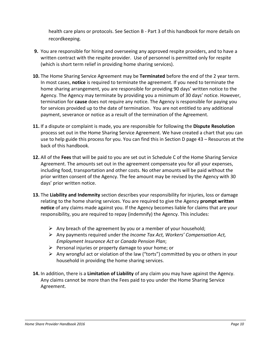health care plans or protocols. See Section B - Part 3 of this handbook for more details on recordkeeping.

- **9.** You are responsible for hiring and overseeing any approved respite providers, and to have a written contract with the respite provider. Use of personnel is permitted only for respite (which is short term relief in providing home sharing services).
- **10.** The Home Sharing Service Agreement may be **Terminated** before the end of the 2 year term. In most cases, **notice** is required to terminate the agreement. If you need to terminate the home sharing arrangement, you are responsible for providing 90 days' written notice to the Agency. The Agency may terminate by providing you a minimum of 30 days' notice. However, termination for **cause** does not require any notice. The Agency is responsible for paying you for services provided up to the date of termination. You are not entitled to any additional payment, severance or notice as a result of the termination of the Agreement.
- **11.** If a dispute or complaint is made, you are responsible for following the **Dispute Resolution**  process set out in the Home Sharing Service Agreement. We have created a chart that you can use to help guide this process for you. You can find this in Section D page 43 – Resources at the back of this handbook.
- **12.** All of the **Fees** that will be paid to you are set out in Schedule C of the Home Sharing Service Agreement. The amounts set out in the agreement compensate you for all your expenses, including food, transportation and other costs. No other amounts will be paid without the prior written consent of the Agency. The fee amount may be revised by the Agency with 30 days' prior written notice.
- **13.** The **Liability and Indemnity** section describes your responsibility for injuries, loss or damage relating to the home sharing services. You are required to give the Agency **prompt written notice** of any claims made against you. If the Agency becomes liable for claims that are your responsibility, you are required to repay (indemnify) the Agency. This includes:
	- $\triangleright$  Any breach of the agreement by you or a member of your household;
	- Any payments required under the *Income Tax Act, Workers' Compensation Act, Employment Insurance Act* or *Canada Pension Plan*;
	- $\triangleright$  Personal injuries or property damage to your home; or
	- $\triangleright$  Any wrongful act or violation of the law ("torts") committed by you or others in your household in providing the home sharing services.
- **14.** In addition, there is a **Limitation of Liability** of any claim you may have against the Agency. Any claims cannot be more than the Fees paid to you under the Home Sharing Service Agreement.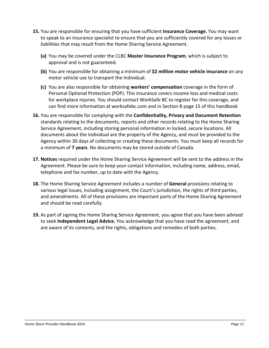- **15.** You are responsible for ensuring that you have sufficient **Insurance Coverage**. You may want to speak to an insurance specialist to ensure that you are sufficiently covered for any losses or liabilities that may result from the Home Sharing Service Agreement.
	- **(a)** You may be covered under the CLBC **Master Insurance Program**, which is subject to approval and is not guaranteed.
	- **(b)** You are responsible for obtaining a minimum of **\$2 million motor vehicle insurance** on any motor vehicle use to transport the Individual.
	- **(c)** You are also responsible for obtaining **workers' compensation** coverage in the form of Personal Optional Protection (POP). This insurance covers income loss and medical costs for workplace injuries. You should contact WorkSafe BC to register for this coverage, and can find more information at worksafebc.com and in Section B page 15 of this handbook
- **16.** You are responsible for complying with the **Confidentiality, Privacy and Document Retention** standards relating to the documents, reports and other records relating to the Home Sharing Service Agreement, including storing personal information in locked, secure locations. All documents about the Individual are the property of the Agency, and must be provided to the Agency within 30 days of collecting or creating these documents. You must keep all records for a minimum of **7 years**. No documents may be stored outside of Canada.
- **17. Notices** required under the Home Sharing Service Agreement will be sent to the address in the Agreement. Please be sure to keep your contact information, including name, address, email, telephone and fax number, up to date with the Agency.
- **18.** The Home Sharing Service Agreement includes a number of **General** provisions relating to various legal issues, including assignment, the Court's jurisdiction, the rights of third parties, and amendments. All of these provisions are important parts of the Home Sharing Agreement and should be read carefully.
- **19.** As part of signing the Home Sharing Service Agreement, you agree that you have been advised to seek **Independent Legal Advice.** You acknowledge that you have read the agreement, and are aware of its contents, and the rights, obligations and remedies of both parties.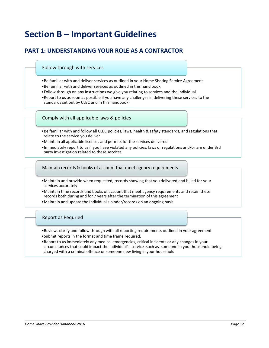# <span id="page-12-0"></span>**Section B – Important Guidelines**

# **PART 1: UNDERSTANDING YOUR ROLE AS A CONTRACTOR**

#### Follow through with services

- •Be familiar with and deliver services as outlined in your Home Sharing Service Agreement
- •Be familiar with and deliver services as outlined in this hand book
- •Follow through on any instructions we give you relating to services and the individual
- •Report to us as soon as possible if you have any challenges in delivering these services to the standards set out by CLBC and in this handbook

#### Comply with all applicable laws & policies

- •Be familiar with and follow all CLBC policies, laws, health & safety standards, and regulations that relate to the service you deliver
- •Maintain all applicable licenses and permits for the services delivered
- •Immediately report to us if you have violated any policies, laws or regulations and/or are under 3rd party investigation related to these services

Maintain records & books of account that meet agency requirements

- •Maintain and provide when requested, records showing that you delivered and billed for your services accurately
- •Maintain time records and books of account that meet agency requirements and retain these records both during and for 7 years after the termination of this agreement
- •Maintain and update the Individual's binder/records on an ongoing basis

#### Report as Requried

- •Review, clarify and follow through with all reporting requirements outlined in your agreement •Submit reports in the format and time frame required.
- •Report to us immediately any medical emergencies, critical incidents or any changes in your circumstances that could impact the individual's service such as someone in your household being charged with a criminal offence or someone new living in your household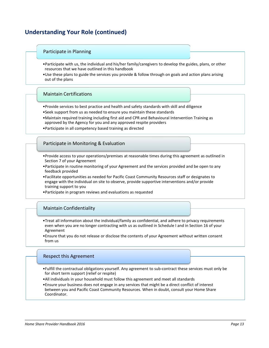# **Understanding Your Role (continued)**

#### Participate in Planning

- •Participate with us, the individual and his/her family/caregivers to develop the guides, plans, or other resources that we have outlined in this handbook
- •Use these plans to guide the services you provide & follow through on goals and action plans arising out of the plans

#### Maintain Certifications

- •Provide services to best practice and health and safety standards with skill and diligence
- •Seek support from us as needed to ensure you maintain these standards
- •Maintain required training including first aid and CPR and Behavioural Intervention Training as approved by the Agency for you and any approved respite providers
- •Participate in all competency based training as directed

#### Participate in Monitoring & Evaluation

- •Provide access to your operations/premises at reasonable times during this agreement as outlined in Section 7 of your Agreement
- •Participate in routine monitoring of your Agreement and the services provided and be open to any feedback provided
- •Facilitate opportunities as needed for Pacific Coast Community Resources staff or designates to engage with the individual on site to observe, provide supportive interventions and/or provide training support to you
- •Participate in program reviews and evaluations as requested

#### Maintain Confidentiality

- •Treat all information about the individual/family as confidential, and adhere to privacy requirements even when you are no longer contracting with us as outlined in Schedule I and in Section 16 of your Agreement
- •Ensure that you do not release or disclose the contents of your Agreement without written consent from us

#### Respect this Agreement

- •Fulfill the contractual obligations yourself. Any agreement to sub-contract these services must only be for short term support (relief or respite)
- •All individuals in your household must follow this agreement and meet all standards
- •Ensure your business does not engage in any services that might be a direct conflict of interest between you and Pacific Coast Community Resources. When in doubt, consult your Home Share Coordinator.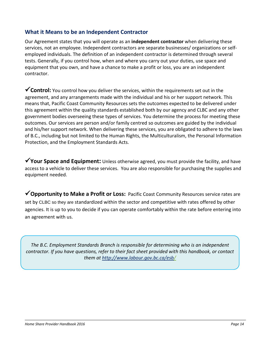#### <span id="page-14-0"></span>**What it Means to be an Independent Contractor**

Our Agreement states that you will operate as an **independent contractor** when delivering these services, not an employee. Independent contractors are separate businesses/ organizations or selfemployed individuals. The definition of an independent contractor is determined through several tests. Generally, if you control how, when and where you carry out your duties, use space and equipment that you own, and have a chance to make a profit or loss, you are an independent contractor.

**Control:** You control how you deliver the services, within the requirements set out in the agreement, and any arrangements made with the individual and his or her support network. This means that, Pacific Coast Community Resources sets the outcomes expected to be delivered under this agreement within the quality standards established both by our agency and CLBC and any other government bodies overseeing these types of services. You determine the process for meeting these outcomes. Our services are person and/or family centred so outcomes are guided by the individual and his/her support network. When delivering these services, you are obligated to adhere to the laws of B.C., including but not limited to the Human Rights, the Multiculturalism, the Personal Information Protection, and the Employment Standards Acts.

◆ Your Space and Equipment: Unless otherwise agreed, you must provide the facility, and have access to a vehicle to deliver these services. You are also responsible for purchasing the supplies and equipment needed.

**Opportunity to Make a Profit or Loss:** Pacific Coast Community Resources service rates are set by CLBC so they are standardized within the sector and competitive with rates offered by other agencies. It is up to you to decide if you can operate comfortably within the rate before entering into an agreement with us.

*The B.C. Employment Standards Branch is responsible for determining who is an independent contractor. If you have questions, refer to their fact sheet provided with this handbook, or contact them at<http://www.labour.gov.bc.ca/esb/>*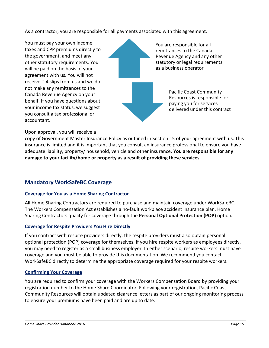As a contractor, you are responsible for all payments associated with this agreement.

You must pay your own income taxes and CPP premiums directly to the government, and meet any other statutory requirements. You will be paid on the basis of your agreement with us. You will not receive T-4 slips from us and we do not make any remittances to the Canada Revenue Agency on your behalf. If you have questions about your income tax status, we suggest you consult a tax professional or accountant.

You are responsible for all remittances to the Canada Revenue Agency and any other statutory or legal requirements as a business operator

> Pacific Coast Community Resources is responsible for paying you for services delivered under this contract

#### Upon approval, you will receive a

copy of Government Master Insurance Policy as outlined in Section 15 of your agreement with us. This insurance is limited and it is important that you consult an insurance professional to ensure you have adequate liability, property/ household, vehicle and other insurance. **You are responsible for any damage to your facility/home or property as a result of providing these services.** 

#### <span id="page-15-0"></span>**Mandatory WorkSafeBC Coverage**

#### **Coverage for You as a Home Sharing Contractor**

All Home Sharing Contractors are required to purchase and maintain coverage under WorkSafeBC. The Workers Compensation Act establishes a no-fault workplace accident insurance plan. Home Sharing Contractors qualify for coverage through the **Personal Optional Protection (POP)** option*.* 

#### **Coverage for Respite Providers You Hire Directly**

If you contract with respite providers directly, the respite providers must also obtain personal optional protection (POP) coverage for themselves. If you hire respite workers as employees directly, you may need to register as a small business employer. In either scenario, respite workers must have coverage and you must be able to provide this documentation. We recommend you contact WorkSafeBC directly to determine the appropriate coverage required for your respite workers.

#### **Confirming Your Coverage**

You are required to confirm your coverage with the Workers Compensation Board by providing your registration number to the Home Share Coordinator. Following your registration, Pacific Coast Community Resources will obtain updated clearance letters as part of our ongoing monitoring process to ensure your premiums have been paid and are up to date.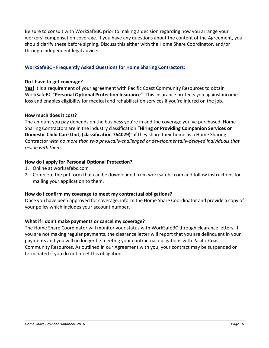Be sure to consult with WorkSafeBC prior to making a decision regarding how you arrange your workers' compensation coverage. If you have any questions about the content of the Agreement, you should clarify these before signing. Discuss this either with the Home Share Coordinator, and/or through independent legal advice.

#### **WorkSafeBC - Frequently Asked Questions for Home Sharing Contractors:**

#### **Do I have to get coverage?**

**Yes!** It is a requirement of your agreement with Pacific Coast Community Resources to obtain WorkSafeBC "**Personal Optional Protection Insurance**". This insurance protects you against income loss and enables eligibility for medical and rehabilitation services if you're injured on the job.

#### **How much does it cost?**

The amount you pay depends on the business you're in and the coverage you've purchased. Home Sharing Contractors are in the industry classification "**Hiring or Providing Companion Services or Domestic Child Care Unit, (classification 764029)**" if they share their home as a Home Sharing Contractor *with no more than two physically-challenged or developmentally-delayed individuals that reside with them*.

#### **How do I apply for Personal Optional Protection?**

- 1. Online at worksafebc.com
- 2. Complete the pdf form that can be downloaded from worksafebc.com and follow instructions for mailing your application to them.

#### **How do I confirm my coverage to meet my contractual obligations?**

Once you have been approved for coverage, inform the Home Share Coordinator and provide a copy of your policy which includes your account number.

#### **What if I don't make payments or cancel my coverage?**

The Home Share Coordinator will monitor your status with WorkSafeBC through clearance letters. If you are not making regular payments, the clearance letter will report that you are delinquent in your payments and you will no longer be meeting your contractual obligations with Pacific Coast Community Resources. As outlined in our Agreement with you, your contract may be suspended or terminated if you do not meet this obligation.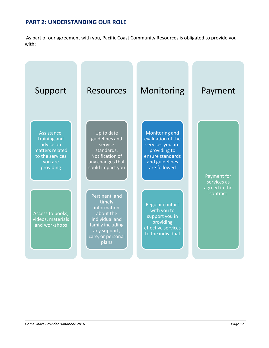# **PART 2: UNDERSTANDING OUR ROLE**

As part of our agreement with you, Pacific Coast Community Resources is obligated to provide you with:

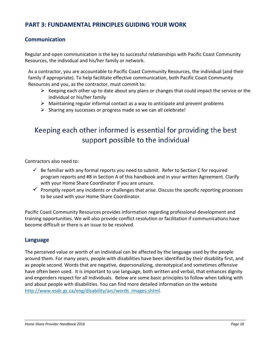## **PART 3: FUNDAMENTAL PRINCIPLES GUIDING YOUR WORK**

#### <span id="page-18-0"></span>**Communication**

Regular and open communication is the key to successful relationships with Pacific Coast Community Resources, the individual and his/her family or network.

As a contractor, you are accountable to Pacific Coast Community Resources, the individual (and their family if appropriate). To help facilitate effective communication, both Pacific Coast Community Resources and you, as the contractor, must commit to:

- $\triangleright$  Keeping each other up to date about any plans or changes that could impact the service or the individual or his/her family
- $\triangleright$  Maintaining regular informal contact as a way to anticipate and prevent problems
- $\triangleright$  Sharing any successes or progress made so we can all celebrate!

# Keeping each other informed is essential for providing the best support possible to the individual

Contractors also need to:

- $\checkmark$  Be familiar with any formal reports you need to submit. Refer to Section C for required program reports and #8 in Section A of this handbook and in your written Agreement. Clarify with your Home Share Coordinator if you are unsure.
- $\checkmark$  Promptly report any incidents or challenges that arise. Discuss the specific reporting processes to be used with your Home Share Coordinator.

Pacific Coast Community Resources provides information regarding professional development and training opportunities. We will also provide conflict resolution or facilitation if communications have become difficult or there is an issue to be resolved.

#### **Language**

The perceived value or worth of an individual can be affected by the language used by the people around them. For many years, people with disabilities have been identified by their disability first, and as people second. Words that are negative, depersonalizing, stereotypical and sometimes offensive have often been used. It is important to use language, both written and verbal, that enhances dignity and engenders respect for all individuals. Below are some basic principles to follow when talking with and about people with disabilities. You can find more detailed information on the website [http://www.esdc.gc.ca/eng/disability/arc/words\\_images.shtml.](http://www.esdc.gc.ca/eng/disability/arc/words_images.shtml)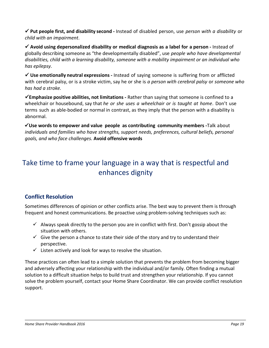**Put people first, and disability second -** Instead of disabled person, use *person with a disability* or *child with an impairment*.

 **Avoid using depersonalized disability or medical diagnosis as a label for a person -** Instead of globally describing someone as "the developmentally disabled", use *people who have developmental disabilities, child with a learning disability, someone with a mobility impairment or an individual who has epilepsy.*

 **Use emotionally neutral expressions -** Instead of saying someone is suffering from or afflicted with cerebral palsy, or is a stroke victim, say he or she is *a person with cerebral palsy* or *someone who has had a stroke.*

**Emphasize positive abilities, not limitations -** Rather than saying that someone is confined to a wheelchair or housebound, say that *he or she uses a wheelchair or is taught at home*. Don't use terms such as able-bodied or normal in contrast, as they imply that the person with a disability is abnormal.

**Use words to empower and value people as contributing community members -**Talk about *individuals and families who have strengths, support needs, preferences, cultural beliefs, personal goals, and who face challenges.* **Avoid offensive words**

# Take time to frame your language in a way that is respectful and enhances dignity

# <span id="page-19-0"></span>**Conflict Resolution**

Sometimes differences of opinion or other conflicts arise. The best way to prevent them is through frequent and honest communications. Be proactive using problem-solving techniques such as:

- $\checkmark$  Always speak directly to the person you are in conflict with first. Don't gossip about the situation with others.
- $\checkmark$  Give the person a chance to state their side of the story and try to understand their perspective.
- $\checkmark$  Listen actively and look for ways to resolve the situation.

These practices can often lead to a simple solution that prevents the problem from becoming bigger and adversely affecting your relationship with the individual and/or family. Often finding a mutual solution to a difficult situation helps to build trust and strengthen your relationship. If you cannot solve the problem yourself, contact your Home Share Coordinator. We can provide conflict resolution support.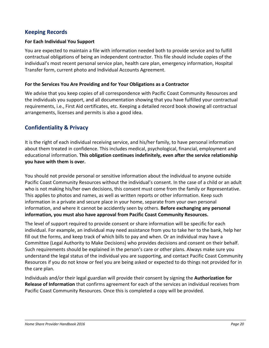#### <span id="page-20-0"></span>**Keeping Records**

#### **For Each Individual You Support**

You are expected to maintain a file with information needed both to provide service and to fulfill contractual obligations of being an independent contractor. This file should include copies of the individual's most recent personal service plan, health care plan, emergency information, Hospital Transfer form, current photo and Individual Accounts Agreement.

#### **For the Services You Are Providing and for Your Obligations as a Contractor**

We advise that you keep copies of all correspondence with Pacific Coast Community Resources and the individuals you support, and all documentation showing that you have fulfilled your contractual requirements, i.e., First Aid certificates, etc. Keeping a detailed record book showing all contractual arrangements, licenses and permits is also a good idea.

#### <span id="page-20-1"></span>**Confidentiality & Privacy**

It is the right of each individual receiving service, and his/her family, to have personal information about them treated in confidence. This includes medical, psychological, financial, employment and educational information. **This obligation continues indefinitely, even after the service relationship you have with them is over.** 

You should not provide personal or sensitive information about the individual to anyone outside Pacific Coast Community Resources without the individual's consent. In the case of a child or an adult who is not making his/her own decisions, this consent must come from the family or Representative. This applies to photos and names, as well as written reports or other information. Keep such information in a private and secure place in your home, separate from your own personal information, and where it cannot be accidently seen by others. **Before exchanging any personal information, you must also have approval from Pacific Coast Community Resources.**

The level of support required to provide consent or share information will be specific for each individual. For example, an individual may need assistance from you to take her to the bank, help her fill out the forms, and keep track of which bills to pay and when. Or an individual may have a Committee (Legal Authority to Make Decisions) who provides decisions and consent on their behalf. Such requirements should be explained in the person's care or other plans. Always make sure you understand the legal status of the individual you are supporting, and contact Pacific Coast Community Resources if you do not know or feel you are being asked or expected to do things not provided for in the care plan.

Individuals and/or their legal guardian will provide their consent by signing the **Authorization for Release of Information** that confirms agreement for each of the services an individual receives from Pacific Coast Community Resources. Once this is completed a copy will be provided.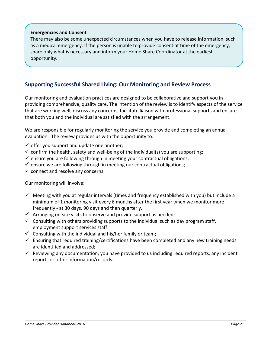#### **Emergencies and Consent**

There may also be some unexpected circumstances when you have to release information, such as a medical emergency. If the person is unable to provide consent at time of the emergency, share only what is necessary and inform your Home Share Coordinator at the earliest opportunity.

#### <span id="page-21-0"></span>**Supporting Successful Shared Living: Our Monitoring and Review Process**

Our monitoring and evaluation practices are designed to be collaborative and support you in providing comprehensive, quality care. The intention of the review is to identify aspects of the service that are working well, discuss any concerns, facilitate liaison with professional supports and ensure that both you and the individual are satisfied with the arrangement.

We are responsible for regularly monitoring the service you provide and completing an annual evaluation. The review provides us with the opportunity to:

- $\checkmark$  offer you support and update one another;
- $\checkmark$  confirm the health, safety and well-being of the individual(s) you are supporting;
- $\checkmark$  ensure you are following through in meeting your contractual obligations;
- $\checkmark$  ensure we are following through in meeting our contractual obligations;
- $\checkmark$  connect and resolve any concerns.

Our monitoring will involve:

- $\checkmark$  Meeting with you at regular intervals (times and frequency established with you) but include a minimum of 1 monitoring visit every 6 months after the first year when we monitor more frequently - at 30 days, 90 days and then quarterly.
- $\checkmark$  Arranging on-site visits to observe and provide support as needed;
- $\checkmark$  Consulting with others providing supports to the individual such as day program staff, employment support services staff
- $\checkmark$  Consulting with the individual and his/her family or team;
- $\checkmark$  Ensuring that required training/certifications have been completed and any new training needs are identified and addressed;
- $\checkmark$  Reviewing any documentation, you have provided to us including required reports, any incident reports or other information/records.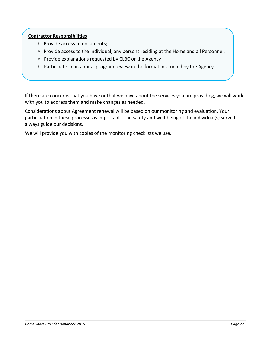#### **Contractor Responsibilities**

- ∗ Provide access to documents;
- ∗ Provide access to the Individual, any persons residing at the Home and all Personnel;
- ∗ Provide explanations requested by CLBC or the Agency
- ∗ Participate in an annual program review in the format instructed by the Agency

If there are concerns that you have or that we have about the services you are providing, we will work with you to address them and make changes as needed.

Considerations about Agreement renewal will be based on our monitoring and evaluation. Your participation in these processes is important. The safety and well-being of the individual(s) served always guide our decisions.

We will provide you with copies of the monitoring checklists we use.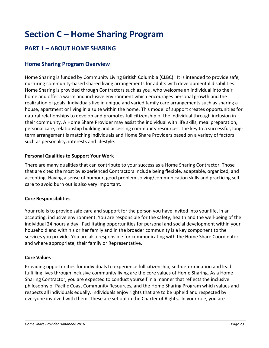# <span id="page-23-0"></span>**Section C – Home Sharing Program**

# <span id="page-23-2"></span><span id="page-23-1"></span>**PART 1 – ABOUT HOME SHARING**

#### **Home Sharing Program Overview**

Home Sharing is funded by Community Living British Columbia (CLBC). It is intended to provide safe, nurturing community-based shared living arrangements for adults with developmental disabilities. Home Sharing is provided through Contractors such as you, who welcome an individual into their home and offer a warm and inclusive environment which encourages personal growth and the realization of goals. Individuals live in unique and varied family care arrangements such as sharing a house, apartment or living in a suite within the home. This model of support creates opportunities for natural relationships to develop and promotes full citizenship of the individual through inclusion in their community. A Home Share Provider may assist the individual with life skills, meal preparation, personal care, relationship building and accessing community resources. The key to a successful, longterm arrangement is matching individuals and Home Share Providers based on a variety of factors such as personality, interests and lifestyle.

#### **Personal Qualities to Support Your Work**

There are many qualities that can contribute to your success as a Home Sharing Contractor. Those that are cited the most by experienced Contractors include being flexible, adaptable, organized, and accepting. Having a sense of humour, good problem solving/communication skills and practicing selfcare to avoid burn out is also very important.

#### **Core Responsibilities**

Your role is to provide safe care and support for the person you have invited into your life, in an accepting, inclusive environment. You are responsible for the safety, health and the well-being of the individual 24 hours a day. Facilitating opportunities for personal and social development within your household and with his or her family and in the broader community is a key component to the services you provide. You are also responsible for communicating with the Home Share Coordinator and where appropriate, their family or Representative.

#### **Core Values**

Providing opportunities for individuals to experience full citizenship, self-determination and lead fulfilling lives through inclusive community living are the core values of Home Sharing. As a Home Sharing Contractor, you are expected to conduct yourself in a manner that reflects the inclusive philosophy of Pacific Coast Community Resources, and the Home Sharing Program which values and respects all individuals equally. Individuals enjoy rights that are to be upheld and respected by everyone involved with them. These are set out in the Charter of Rights. In your role, you are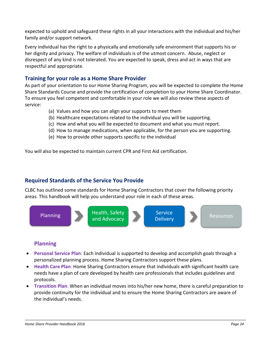expected to uphold and safeguard these rights in all your interactions with the individual and his/her family and/or support network.

Every individual has the right to a physically and emotionally safe environment that supports his or her dignity and privacy. The welfare of individuals is of the utmost concern. Abuse, neglect or disrespect of any kind is not tolerated. You are expected to speak, dress and act in ways that are respectful and appropriate.

#### <span id="page-24-0"></span>**Training for your role as a Home Share Provider**

As part of your orientation to our Home Sharing Program, you will be expected to complete the Home Share Standards Course and provide the certification of completion to your Home Share Coordinator. To ensure you feel competent and comfortable in your role we will also review these aspects of service:

- (a) Values and how you can align your supports to meet them
- (b) Healthcare expectations related to the individual you will be supporting.
- (c) How and what you will be expected to document and what you must report.
- (d) How to manage medications, when applicable, for the person you are supporting.
- (e) How to provide other supports specific to the individual

You will also be expected to maintain current CPR and First Aid certification.

#### <span id="page-24-1"></span>**Required Standards of the Service You Provide**

CLBC has outlined some standards for Home Sharing Contractors that cover the following priority areas. This handbook will help you understand your role in each of these areas.



#### **Planning**

- **Personal Service Plan**: Each individual is supported to develop and accomplish goals through a personalized planning process. Home Sharing Contractors support these plans.
- **Health Care Plan**: Home Sharing Contractors ensure that individuals with significant health care needs have a plan of care developed by health care professionals that includes guidelines and protocols.
- **Transition Plan**: When an individual moves into his/her new home, there is careful preparation to provide continuity for the individual and to ensure the Home Sharing Contractors are aware of the individual's needs.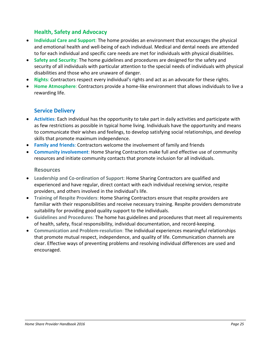#### **Health, Safety and Advocacy**

- **Individual Care and Support**: The home provides an environment that encourages the physical and emotional health and well-being of each individual. Medical and dental needs are attended to for each individual and specific care needs are met for individuals with physical disabilities.
- **Safety and Security**: The home guidelines and procedures are designed for the safety and security of all individuals with particular attention to the special needs of individuals with physical disabilities and those who are unaware of danger.
- **Rights**: Contractors respect every individual's rights and act as an advocate for these rights.
- **Home Atmosphere**: Contractors provide a home-like environment that allows individuals to live a rewarding life.

#### **Service Delivery**

- **Activities**: Each individual has the opportunity to take part in daily activities and participate with as few restrictions as possible in typical home living. Individuals have the opportunity and means to communicate their wishes and feelings, to develop satisfying social relationships, and develop skills that promote maximum independence.
- **Family and friends**: Contractors welcome the involvement of family and friends
- **Community involvement**: Home Sharing Contractors make full and effective use of community resources and initiate community contacts that promote inclusion for all individuals.

#### **Resources**

- **Leadership and Co-ordination of Support**: Home Sharing Contractors are qualified and experienced and have regular, direct contact with each individual receiving service, respite providers, and others involved in the individual's life.
- **Training of Respite Providers**: Home Sharing Contractors ensure that respite providers are familiar with their responsibilities and receive necessary training. Respite providers demonstrate suitability for providing good quality support to the individuals.
- **Guidelines and Procedures**: The home has guidelines and procedures that meet all requirements of health, safety, fiscal responsibility, individual documentation, and record-keeping.
- **Communication and Problem-resolution**: The individual experiences meaningful relationships that promote mutual respect, independence, and quality of life. Communication channels are clear. Effective ways of preventing problems and resolving individual differences are used and encouraged.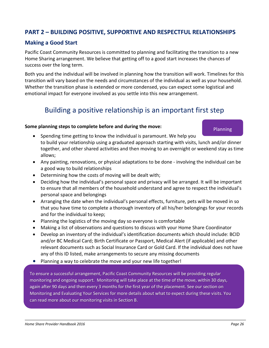# <span id="page-26-0"></span>**PART 2 – BUILDING POSITIVE, SUPPORTIVE AND RESPECTFUL RELATIONSHIPS**

#### <span id="page-26-1"></span>**Making a Good Start**

Pacific Coast Community Resources is committed to planning and facilitating the transition to a new Home Sharing arrangement. We believe that getting off to a good start increases the chances of success over the long term.

Both you and the individual will be involved in planning how the transition will work. Timelines for this transition will vary based on the needs and circumstances of the individual as well as your household. Whether the transition phase is extended or more condensed, you can expect some logistical and emotional impact for everyone involved as you settle into this new arrangement.

# Building a positive relationship is an important first step

#### **Some planning steps to complete before and during the move:**

- Spending time getting to know the individual is paramount. We help you to build your relationship using a graduated approach starting with visits, lunch and/or dinner together, and other shared activities and then moving to an overnight or weekend stay as time allows;
- Any painting, renovations, or physical adaptations to be done involving the individual can be a good way to build relationships
- Determining how the costs of moving will be dealt with;
- Deciding how the individual's personal space and privacy will be arranged. It will be important to ensure that all members of the household understand and agree to respect the individual's personal space and belongings
- Arranging the date when the individual's personal effects, furniture, pets will be moved in so that you have time to complete a thorough inventory of all his/her belongings for your records and for the individual to keep;
- Planning the logistics of the moving day so everyone is comfortable
- Making a list of observations and questions to discuss with your Home Share Coordinator
- Develop an inventory of the individual's identification documents which should include: BCID and/or BC Medical Card; Birth Certificate or Passport, Medical Alert (if applicable) and other relevant documents such as Social Insurance Card or Gold Card. If the individual does not have any of this ID listed, make arrangements to secure any missing documents
- Planning a way to celebrate the move and your new life together!

To ensure a successful arrangement, Pacific Coast Community Resources will be providing regular monitoring and ongoing support. Monitoring will take place at the time of the move, within 30 days, again after 90 days and then every 3 months for the first year of the placement. See our section on Monitoring and Evaluating Your Services for more details about what to expect during these visits. You can read more about our monitoring visits in Section B.

Planning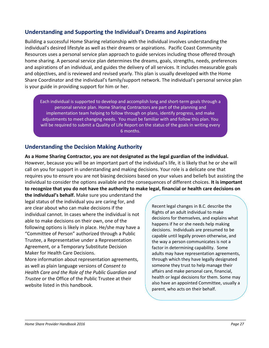#### <span id="page-27-0"></span>**Understanding and Supporting the Individual's Dreams and Aspirations**

Building a successful Home Sharing relationship with the individual involves understanding the individual's desired lifestyle as well as their dreams or aspirations. Pacific Coast Community Resources uses a personal service plan approach to guide services including those offered through home sharing. A personal service plan determines the dreams, goals, strengths, needs, preferences and aspirations of an individual, and guides the delivery of all services. It includes measurable goals and objectives, and is reviewed and revised yearly. This plan is usually developed with the Home Share Coordinator and the individual's family/support network. The individual's personal service plan is your guide in providing support for him or her.

Each individual is supported to develop and accomplish long and short-term goals through a personal service plan. Home Sharing Contractors are part of the planning and implementation team helping to follow through on plans, identify progress, and make adjustments to meet changing needs. You must be familiar with and follow this plan. You will be required to submit a Quality of Life Report on the status of the goals in writing every 6 months.

#### **Understanding the Decision Making Authority**

**As a Home Sharing Contractor, you are not designated as the legal guardian of the individual.** However, because you will be an important part of the individual's life, it is likely that he or she will call on you for support in understanding and making decisions. Your role is a delicate one that requires you to ensure you are not biasing decisions based on your values and beliefs but assisting the individual to consider the options available and the consequences of different choices. **It is important to recognize that you do not have the authority to make legal, financial or health care decisions on** 

**the individual's behalf.** Make sure you understand the legal status of the individual you are caring for, and are clear about who can make decisions if the individual cannot. In cases where the individual is not able to make decisions on their own, one of the following options is likely in place. He/she may have a "Committee of Person" authorized through a Public Trustee, a Representative under a Representation Agreement, or a Temporary Substitute Decision Maker for Health Care Decisions.

More information about representation agreements, as well as plain language versions of *Consent to Health Care and the Role of the Public Guardian and Trustee* or the Office of the Public Trustee at their website listed in this handbook.

Recent legal changes in B.C. describe the Rights of an adult individual to make decisions for themselves, and explains what happens if he or she needs help making decisions. Individuals are presumed to be capable until legally proven otherwise, and the way a person communicates is not a factor in determining capability. Some adults may have representation agreements, through which they have legally designated someone they trust to help manage their affairs and make personal care, financial, health or legal decisions for them. Some may also have an appointed Committee, usually a parent, who acts on their behalf.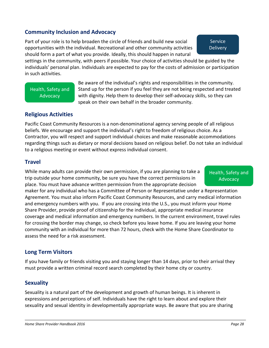#### <span id="page-28-0"></span>**Community Inclusion and Advocacy**

Part of your role is to help broaden the circle of friends and build new social opportunities with the individual. Recreational and other community activities should form a part of what you provide. Ideally, this should happen in natural

settings in the community, with peers if possible. Your choice of activities should be guided by the individuals' personal plan. Individuals are expected to pay for the costs of admission or participation in such activities.

Health, Safety and **Advocacy** 

Be aware of the individual's rights and responsibilities in the community. Stand up for the person if you feel they are not being respected and treated with dignity. Help them to develop their self-advocacy skills, so they can speak on their own behalf in the broader community.

#### <span id="page-28-1"></span>**Religious Activities**

Pacific Coast Community Resources is a non-denominational agency serving people of all religious beliefs. We encourage and support the individual's right to freedom of religious choice. As a Contractor, you will respect and support individual choices and make reasonable accommodations regarding things such as dietary or moral decisions based on religious belief. Do not take an individual to a religious meeting or event without express individual consent.

#### <span id="page-28-2"></span>**Travel**

While many adults can provide their own permission, if you are planning to take a trip outside your home community, be sure you have the correct permissions in place. You must have advance written permission from the appropriate decision

#### Health, Safety and **Advocacy**

maker for any individual who has a Committee of Person or Representative under a Representation Agreement. You must also inform Pacific Coast Community Resources, and carry medical information and emergency numbers with you. If you are crossing into the U.S., you must inform your Home Share Provider, provide proof of citizenship for the individual, appropriate medical insurance coverage and medical information and emergency numbers. In the current environment, travel rules for crossing the border may change, so check before you leave home. If you are leaving your home community with an individual for more than 72 hours, check with the Home Share Coordinator to assess the need for a risk assessment.

#### <span id="page-28-3"></span>**Long Term Visitors**

If you have family or friends visiting you and staying longer than 14 days, prior to their arrival they must provide a written criminal record search completed by their home city or country.

#### <span id="page-28-4"></span>**Sexuality**

Sexuality is a natural part of the development and growth of human beings. It is inherent in expressions and perceptions of self. Individuals have the right to learn about and explore their sexuality and sexual identity in developmentally appropriate ways. Be aware that you are sharing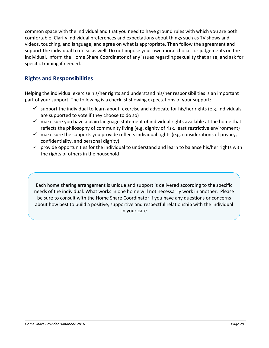common space with the individual and that you need to have ground rules with which you are both comfortable. Clarify individual preferences and expectations about things such as TV shows and videos, touching, and language, and agree on what is appropriate. Then follow the agreement and support the individual to do so as well. Do not impose your own moral choices or judgements on the individual. Inform the Home Share Coordinator of any issues regarding sexuality that arise, and ask for specific training if needed.

### <span id="page-29-0"></span>**Rights and Responsibilities**

Helping the individual exercise his/her rights and understand his/her responsibilities is an important part of your support. The following is a checklist showing expectations of your support:

- $\checkmark$  support the individual to learn about, exercise and advocate for his/her rights (e.g. individuals are supported to vote if they choose to do so)
- $\checkmark$  make sure you have a plain language statement of individual rights available at the home that reflects the philosophy of community living (e.g. dignity of risk, least restrictive environment)
- $\checkmark$  make sure the supports you provide reflects individual rights (e.g. considerations of privacy, confidentiality, and personal dignity)
- $\checkmark$  provide opportunities for the individual to understand and learn to balance his/her rights with the rights of others in the household

Each home sharing arrangement is unique and support is delivered according to the specific needs of the individual. What works in one home will not necessarily work in another. Please be sure to consult with the Home Share Coordinator if you have any questions or concerns about how best to build a positive, supportive and respectful relationship with the individual in your care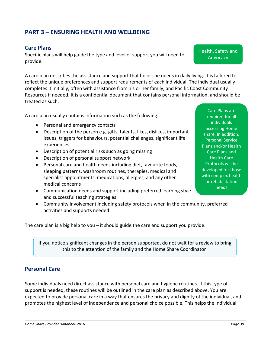# <span id="page-30-1"></span><span id="page-30-0"></span>**PART 3 – ENSURING HEALTH AND WELLBEING**

#### **Care Plans**

Specific plans will help guide the type and level of support you will need to provide.

A care plan describes the assistance and support that he or she needs in daily living. It is tailored to reflect the unique preferences and support requirements of each individual. The individual usually completes it initially, often with assistance from his or her family, and Pacific Coast Community Resources if needed. It is a confidential document that contains personal information, and should be treated as such.

A care plan usually contains information such as the following:

- Personal and emergency contacts
- Description of the person e.g. gifts, talents, likes, dislikes, important issues, triggers for behaviours, potential challenges, significant life experiences
- Description of potential risks such as going missing
- Description of personal support network
- Personal care and health needs including diet, favourite foods, sleeping patterns, washroom routines, therapies, medical and specialist appointments, medications, allergies, and any other medical concerns
- Communication needs and support including preferred learning style and successful teaching strategies
- Community involvement including safety protocols when in the community, preferred activities and supports needed

The care plan is a big help to you – it should guide the care and support you provide.

If you notice significant changes in the person supported, do not wait for a review to bring this to the attention of the family and the Home Share Coordinator.

#### <span id="page-30-2"></span>**Personal Care**

Some individuals need direct assistance with personal care and hygiene routines. If this type of support is needed, these routines will be outlined in the care plan as described above. You are expected to provide personal care in a way that ensures the privacy and dignity of the individual, and promotes the highest level of independence and personal choice possible. This helps the individual

Care Plans are required for all individuals accessing Home share. In addition, Personal Service Plans and/or Health Care Plans and Health Care Protocols will be developed for those with complex health or rehabilitation needs

Health, Safety and **Advocacy**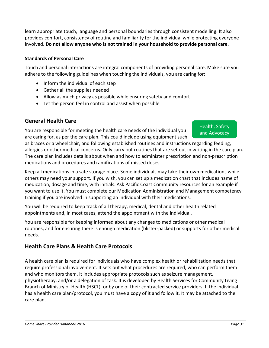learn appropriate touch, language and personal boundaries through consistent modelling. It also provides comfort, consistency of routine and familiarity for the individual while protecting everyone involved. **Do not allow anyone who is not trained in your household to provide personal care.** 

#### **Standards of Personal Care**

Touch and personal interactions are integral components of providing personal care. Make sure you adhere to the following guidelines when touching the individuals, you are caring for:

- Inform the individual of each step
- Gather all the supplies needed
- Allow as much privacy as possible while ensuring safety and comfort
- Let the person feel in control and assist when possible

## **General Health Care**

You are responsible for meeting the health care needs of the individual you are caring for, as per the care plan. This could include using equipment such Health, Safety and Advocacy

as braces or a wheelchair, and following established routines and instructions regarding feeding, allergies or other medical concerns. Only carry out routines that are set out in writing in the care plan. The care plan includes details about when and how to administer prescription and non-prescription medications and procedures and ramifications of missed doses.

Keep all medications in a safe storage place. Some individuals may take their own medications while others may need your support. If you wish, you can set up a medication chart that includes name of medication, dosage and time, with initials. Ask Pacific Coast Community resources for an example if you want to use it. You must complete our Medication Administration and Management competency training if you are involved in supporting an individual with their medications.

You will be required to keep track of all therapy, medical, dental and other health related appointments and, in most cases, attend the appointment with the individual.

You are responsible for keeping informed about any changes to medications or other medical routines, and for ensuring there is enough medication (blister-packed) or supports for other medical needs.

# **Health Care Plans & Health Care Protocols**

A health care plan is required for individuals who have complex health or rehabilitation needs that require professional involvement. It sets out what procedures are required, who can perform them and who monitors them. It includes appropriate protocols such as seizure management, physiotherapy, and/or a delegation of task. It is developed by Health Services for Community Living Branch of Ministry of Health (HSCL), or by one of their contracted service providers. If the individual has a health care plan/protocol, you must have a copy of it and follow it. It may be attached to the care plan.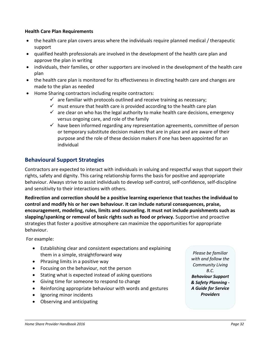#### **Health Care Plan Requirements**

- the health care plan covers areas where the individuals require planned medical / therapeutic support
- qualified health professionals are involved in the development of the health care plan and approve the plan in writing
- individuals, their families, or other supporters are involved in the development of the health care plan
- the health care plan is monitored for its effectiveness in directing health care and changes are made to the plan as needed
- Home Sharing contractors including respite contractors:
	- $\checkmark$  are familiar with protocols outlined and receive training as necessary;
	- $\checkmark$  must ensure that health care is provided according to the health care plan
	- $\checkmark$  are clear on who has the legal authority to make health care decisions, emergency versus ongoing care, and role of the family
	- $\checkmark$  have been informed regarding any representation agreements, committee of person or temporary substitute decision makers that are in place and are aware of their purpose and the role of these decision makers if one has been appointed for an individual

#### <span id="page-32-0"></span>**Behavioural Support Strategies**

Contractors are expected to interact with individuals in valuing and respectful ways that support their rights, safety and dignity. This caring relationship forms the basis for positive and appropriate behaviour. Always strive to assist individuals to develop self-control, self-confidence, self-discipline and sensitivity to their interactions with others.

**Redirection and correction should be a positive learning experience that teaches the individual to control and modify his or her own behaviour. It can include natural consequences, praise, encouragement, modeling, rules, limits and counseling. It must not include punishments such as slapping/spanking or removal of basic rights such as food or privacy.** Supportive and proactive strategies that foster a positive atmosphere can maximize the opportunities for appropriate behaviour.

For example:

- Establishing clear and consistent expectations and explaining them in a simple, straightforward way
- Phrasing limits in a positive way
- Focusing on the behaviour, not the person
- Stating what is expected instead of asking questions
- Giving time for someone to respond to change
- Reinforcing appropriate behaviour with words and gestures
- Ignoring minor incidents
- Observing and anticipating

*Please be familiar with and follow the Community Living B.C. Behaviour Support & Safety Planning - A Guide for Service Providers*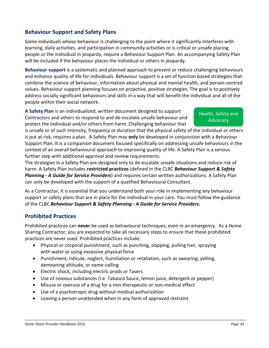#### <span id="page-33-0"></span>**Behaviour Support and Safety Plans**

Some individuals whose behaviour is challenging to the point where it significantly interferes with learning, daily activities, and participation in community activities or is critical or unsafe placing people or the individual in jeopardy, require a Behaviour Support Plan. An accompanying Safety Plan will be included if the behaviour places the individual or others in jeopardy.

**Behaviour support** is a systematic and planned approach to prevent or reduce challenging behaviours and enhance quality of life for individuals. Behaviour support is a set of function based strategies that combine the science of behaviour, information about physical and mental health, and person-centred values. Behaviour support planning focuses on proactive, positive strategies. The goal is to positively address socially significant behaviours and skills in a way that will benefit the individual and all of the people within their social network.

**A Safety Plan** is an individualized, written document designed to support Contractors and others to respond to and de-escalate unsafe behaviour and protect the individual and/or others from harm. Challenging behaviour that

#### Health, Safety and **Advocacy**

is unsafe or of such intensity, frequency or duration that the physical safety of the individual or others is put at risk, requires a plan. A Safety Plan may **only** be developed in conjunction with a Behaviour Support Plan. It is a companion document focused specifically on addressing unsafe behaviours in the context of an overall behavioural approach to improving quality of life. A Safety Plan is a serious further step with additional approval and review requirements.

The strategies in a Safety Plan are designed only to de-escalate unsafe situations and reduce risk of harm. A Safety Plan includes **restricted practices** (defined in the CLBC *Behaviour Support & Safety Planning - A Guide for Service Providers*) and requires certain written authorizations. A Safety Plan can only be developed with the support of a qualified Behavioural Consultant.

As a Contractor, it is essential that you understand both your role in implementing any behaviour support or safety plans that are in place for the individual in your care. You must follow the guidance of the CLBC *Behaviour Support & Safety Planning - A Guide for Service Providers.*

#### <span id="page-33-1"></span>**Prohibited Practices**

Prohibited practices can **never** be used as behavioural techniques, even in an emergency. As a Home Sharing Contractor, you are expected to take all necessary steps to ensure that these prohibited practices are never used. Prohibited practices include:

- Physical or corporal punishment, such as punching, slapping, pulling hair, spraying with water or using excessive physical force
- Punishment, ridicule, neglect, humiliation or retaliation, such as swearing, yelling, demeaning attitude, or name-calling
- Electric shock, including electric prods or Tasers
- Use of noxious substances (i.e. Tabasco Sauce, lemon juice, detergent or pepper)
- Misuse or overuse of a drug for a non-therapeutic or non-medical effect
- Use of a psychotropic drug without medical authorization
- Leaving a person unattended when in any form of approved restraint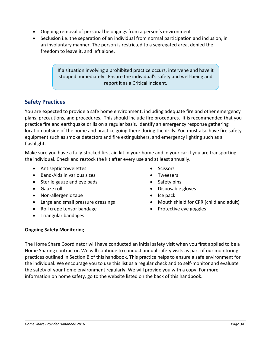- Ongoing removal of personal belongings from a person's environment
- Seclusion i.e. the separation of an individual from normal participation and inclusion, in an involuntary manner. The person is restricted to a segregated area, denied the freedom to leave it, and left alone.

If a situation involving a prohibited practice occurs, intervene and have it stopped immediately. Ensure the individual's safety and well-being and report it as a Critical Incident.

## <span id="page-34-0"></span>**Safety Practices**

You are expected to provide a safe home environment, including adequate fire and other emergency plans, precautions, and procedures. This should include fire procedures. It is recommended that you practice fire and earthquake drills on a regular basis. Identify an emergency response gathering location outside of the home and practice going there during the drills. You must also have fire safety equipment such as smoke detectors and fire extinguishers, and emergency lighting such as a flashlight.

Make sure you have a fully-stocked first aid kit in your home and in your car if you are transporting the individual. Check and restock the kit after every use and at least annually.

- Antiseptic towelettes
- Band-Aids in various sizes
- Sterile gauze and eye pads
- Gauze roll
- Non-allergenic tape
- Large and small pressure dressings
- Roll crepe tensor bandage
- Triangular bandages
- Scissors
- Tweezers
- Safety pins
- Disposable gloves
- Ice pack
- Mouth shield for CPR (child and adult)
- Protective eye goggles

#### **Ongoing Safety Monitoring**

The Home Share Coordinator will have conducted an initial safety visit when you first applied to be a Home Sharing contractor. We will continue to conduct annual safety visits as part of our monitoring practices outlined in Section B of this handbook. This practice helps to ensure a safe environment for the individual. We encourage you to use this list as a regular check and to self-monitor and evaluate the safety of your home environment regularly. We will provide you with a copy. For more information on home safety, go to the website listed on the back of this handbook.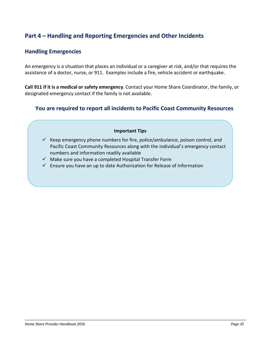# <span id="page-35-1"></span><span id="page-35-0"></span>**Part 4 – Handling and Reporting Emergencies and Other Incidents**

#### **Handling Emergencies**

An emergency is a situation that places an individual or a caregiver at risk, and/or that requires the assistance of a doctor, nurse, or 911. Examples include a fire, vehicle accident or earthquake.

**Call 911 if it is a medical or safety emergency**. Contact your Home Share Coordinator, the family, or designated emergency contact if the family is not available.

#### **You are required to report all incidents to Pacific Coast Community Resources**

#### **Important Tips**

- $\checkmark$  Keep emergency phone numbers for fire, police/ambulance, poison control, and Pacific Coast Community Resources along with the individual's emergency contact numbers and information readily available
- $\checkmark$  Make sure you have a completed Hospital Transfer Form
- $\checkmark$  Ensure you have an up to date Authorization for Release of Information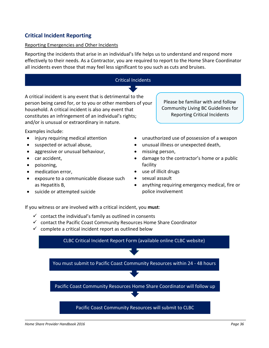#### <span id="page-36-0"></span>**Critical Incident Reporting**

#### Reporting Emergencies and Other Incidents

Reporting the incidents that arise in an individual's life helps us to understand and respond more effectively to their needs. As a Contractor, you are required to report to the Home Share Coordinator all incidents even those that may feel less significant to you such as cuts and bruises.



police involvement

• suicide or attempted suicide

If you witness or are involved with a critical incident, you **must**:

- $\checkmark$  contact the individual's family as outlined in consents
- $\checkmark$  contact the Pacific Coast Community Resources Home Share Coordinator
- $\checkmark$  complete a critical incident report as outlined below

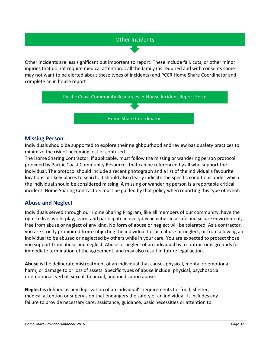# Other Incidents

Other incidents are less significant but important to report. These include fall, cuts, or other minor injuries that do not require medical attention. Call the family (as required and with consents some may not want to be alerted about these types of incidents) and PCCR Home Share Coordinator and complete an in house report



#### **Missing Person**

Individuals should be supported to explore their neighbourhood and review basic safety practices to minimize the risk of becoming lost or confused.

The Home Sharing Contractor, if applicable, must follow the missing or wandering person protocol provided by Pacific Coast Community Resources that can be referenced by all who support the individual. The protocol should include a recent photograph and a list of the individual's favourite locations or likely places to search. It should also clearly indicate the specific conditions under which the individual should be considered missing. A missing or wandering person is a reportable critical incident. Home Sharing Contractors must be guided by that policy when reporting this type of event.

#### <span id="page-37-0"></span>**Abuse and Neglect**

Individuals served through our Home Sharing Program, like all members of our community, have the right to live, work, play, learn, and participate in everyday activities in a safe and secure environment, free from abuse or neglect of any kind. No form of abuse or neglect will be tolerated. As a contractor, you are strictly prohibited from subjecting the individual to such abuse or neglect, or from allowing an individual to be abused or neglected by others while in your care. You are expected to protect those you support from abuse and neglect. Abuse or neglect of an individual by a contractor is grounds for immediate termination of the agreement, and may also result in future legal action.

**Abuse** is the deliberate mistreatment of an individual that causes physical, mental or emotional harm, or damage to or loss of assets. Specific types of abuse include: physical, psychosocial or emotional, verbal, sexual, financial, and medication abuse.

**Neglect** is defined as any deprivation of an individual's requirements for food, shelter, medical attention or supervision that endangers the safety of an individual. It includes any failure to provide necessary care, assistance, guidance, basic necessities or attention to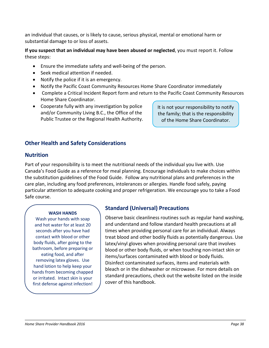an individual that causes, or is likely to cause, serious physical, mental or emotional harm or substantial damage to or loss of assets.

**If you suspect that an individual may have been abused or neglected**, you must report it. Follow these steps:

- Ensure the immediate safety and well-being of the person.
- Seek medical attention if needed.
- Notify the police if it is an emergency.
- Notify the Pacific Coast Community Resources Home Share Coordinator immediately
- Complete a Critical Incident Report form and return to the Pacific Coast Community Resources Home Share Coordinator.
- Cooperate fully with any investigation by police and/or Community Living B.C., the Office of the Public Trustee or the Regional Health Authority.

It is not your responsibility to notify the family; that is the responsibility of the Home Share Coordinator.

## <span id="page-38-0"></span>**Other Health and Safety Considerations**

#### **Nutrition**

Part of your responsibility is to meet the nutritional needs of the individual you live with. Use Canada's Food Guide as a reference for meal planning. Encourage individuals to make choices within the substitution guidelines of the Food Guide. Follow any nutritional plans and preferences in the care plan, including any food preferences, intolerances or allergies. Handle food safely, paying particular attention to adequate cooking and proper refrigeration. We encourage you to take a Food Safe course.

#### **WASH HANDS**

Wash your hands with soap and hot water for at least 20 seconds after you have had contact with blood or other body fluids, after going to the bathroom, before preparing or eating food, and after removing latex gloves. Use hand lotion to help keep your hands from becoming chapped or irritated. Intact skin is your first defense against infection!

#### **Standard (Universal) Precautions**

Observe basic cleanliness routines such as regular hand washing, and understand and follow standard health precautions at all times when providing personal care for an individual. Always treat blood and other bodily fluids as potentially dangerous. Use latex/vinyl gloves when providing personal care that involves blood or other body fluids, or when touching non-intact skin or items/surfaces contaminated with blood or body fluids. Disinfect contaminated surfaces, items and materials with bleach or in the dishwasher or microwave. For more details on standard precautions, check out the website listed on the inside cover of this handbook.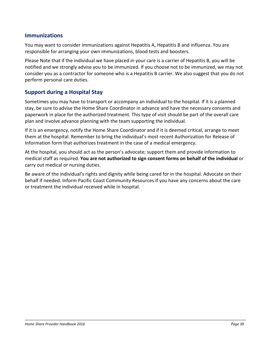#### **Immunizations**

You may want to consider immunizations against Hepatitis A, Hepatitis B and influenza. You are responsible for arranging your own immunizations, blood tests and boosters.

Please Note that if the individual we have placed in your care is a carrier of Hepatitis B, you will be notified and we strongly advise you to be immunized. If you choose not to be immunized, we may not consider you as a contractor for someone who is a Hepatitis B carrier. We also suggest that you do not perform personal care duties.

#### <span id="page-39-0"></span>**Support during a Hospital Stay**

Sometimes you may have to transport or accompany an individual to the hospital. If it is a planned stay, be sure to advise the Home Share Coordinator in advance and have the necessary consents and paperwork in place for the authorized treatment. This type of visit should be part of the overall care plan and involve advance planning with the team supporting the individual.

If it is an emergency, notify the Home Share Coordinator and if it is deemed critical, arrange to meet them at the hospital. Remember to bring the individual's most recent Authorization for Release of Information form that authorizes treatment in the case of a medical emergency.

At the hospital, you should act as the person's advocate; support them and provide information to medical staff as required. **You are not authorized to sign consent forms on behalf of the individual** or carry out medical or nursing duties.

Be aware of the individual's rights and dignity while being cared for in the hospital. Advocate on their behalf if needed. Inform Pacific Coast Community Resources if you have any concerns about the care or treatment the individual received while in hospital.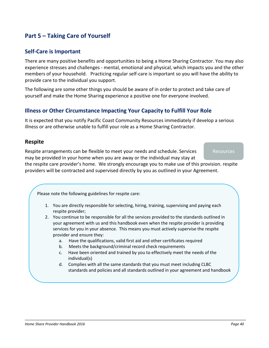# <span id="page-40-1"></span><span id="page-40-0"></span>**Part 5 – Taking Care of Yourself**

#### **Self-Care is Important**

There are many positive benefits and opportunities to being a Home Sharing Contractor. You may also experience stresses and challenges - mental, emotional and physical, which impacts you and the other members of your household. Practicing regular self-care is important so you will have the ability to provide care to the individual you support.

The following are some other things you should be aware of in order to protect and take care of yourself and make the Home Sharing experience a positive one for everyone involved.

#### <span id="page-40-2"></span>**Illness or Other Circumstance Impacting Your Capacity to Fulfill Your Role**

It is expected that you notify Pacific Coast Community Resources immediately if develop a serious illness or are otherwise unable to fulfill your role as a Home Sharing Contractor.

#### <span id="page-40-3"></span>**Respite**

Respite arrangements can be flexible to meet your needs and schedule. Services may be provided in your home when you are away or the individual may stay at

Resources

the respite care provider's home. We strongly encourage you to make use of this provision. respite providers will be contracted and supervised directly by you as outlined in your Agreement.

Please note the following guidelines for respite care:

- 1. You are directly responsible for selecting, hiring, training, supervising and paying each respite provider;
- 2. You continue to be responsible for all the services provided to the standards outlined in your agreement with us and this handbook even when the respite provider is providing services for you in your absence. This means you must actively supervise the respite provider and ensure they:
	- a. Have the qualifications, valid first aid and other certificates required
	- b. Meets the background/criminal record check requirements
	- c. Have been oriented and trained by you to effectively meet the needs of the individual(s)
	- d. Complies with all the same standards that you must meet including CLBC standards and policies and all standards outlined in your agreement and handbook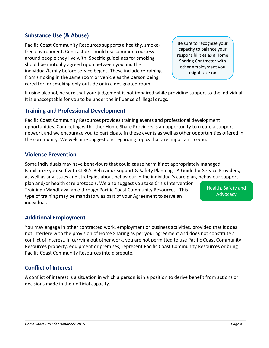#### <span id="page-41-0"></span>**Substance Use (& Abuse)**

Pacific Coast Community Resources supports a healthy, smokefree environment. Contractors should use common courtesy around people they live with. Specific guidelines for smoking should be mutually agreed upon between you and the individual/family before service begins. These include refraining from smoking in the same room or vehicle as the person being cared for, or smoking only outside or in a designated room.

If using alcohol, be sure that your judgement is not impaired while providing support to the individual. It is unacceptable for you to be under the influence of illegal drugs.

#### **Training and Professional Development**

Pacific Coast Community Resources provides training events and professional development opportunities. Connecting with other Home Share Providers is an opportunity to create a support network and we encourage you to participate in these events as well as other opportunities offered in the community. We welcome suggestions regarding topics that are important to you.

#### <span id="page-41-1"></span>**Violence Prevention**

Some individuals may have behaviours that could cause harm if not appropriately managed. Familiarize yourself with CLBC's Behaviour Support & Safety Planning - A Guide for Service Providers, as well as any issues and strategies about behaviour in the individual's care plan, behaviour support plan and/or health care protocols. We also suggest you take Crisis Intervention Training /Mandt available through Pacific Coast Community Resources. This type of training may be mandatory as part of your Agreement to serve an individual. Health, Safety and Advocacy

#### <span id="page-41-2"></span>**Additional Employment**

You may engage in other contracted work, employment or business activities, provided that it does not interfere with the provision of Home Sharing as per your agreement and does not constitute a conflict of interest. In carrying out other work, you are not permitted to use Pacific Coast Community Resources property, equipment or premises, represent Pacific Coast Community Resources or bring Pacific Coast Community Resources into disrepute.

# <span id="page-41-3"></span>**Conflict of Interest**

A conflict of interest is a situation in which a person is in a position to derive benefit from actions or decisions made in their official capacity.

Be sure to recognize your capacity to balance your responsibilities as a Home Sharing Contractor with other employment you might take on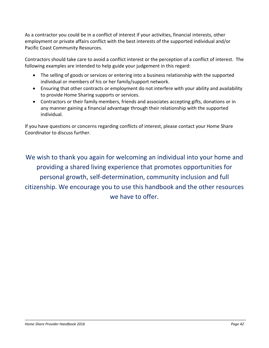As a contractor you could be in a conflict of interest if your activities, financial interests, other employment or private affairs conflict with the best interests of the supported individual and/or Pacific Coast Community Resources.

Contractors should take care to avoid a conflict interest or the perception of a conflict of interest. The following examples are intended to help guide your judgement in this regard:

- The selling of goods or services or entering into a business relationship with the supported individual or members of his or her family/support network.
- Ensuring that other contracts or employment do not interfere with your ability and availability to provide Home Sharing supports or services.
- Contractors or their family members, friends and associates accepting gifts, donations or in any manner gaining a financial advantage through their relationship with the supported individual.

If you have questions or concerns regarding conflicts of interest, please contact your Home Share Coordinator to discuss further.

We wish to thank you again for welcoming an individual into your home and providing a shared living experience that promotes opportunities for personal growth, self-determination, community inclusion and full citizenship. We encourage you to use this handbook and the other resources we have to offer.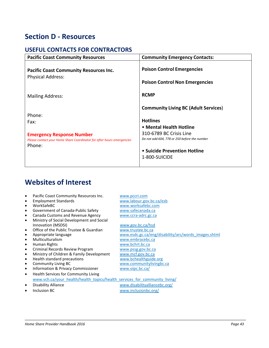# <span id="page-43-0"></span>**Section D - Resources**

# <span id="page-43-1"></span>**USEFUL CONTACTS FOR CONTRACTORS**

| <b>Pacific Coast Community Resources</b>                                                                                               | <b>Community Emergency Contacts:</b>                                                                                                                                                                                  |  |  |
|----------------------------------------------------------------------------------------------------------------------------------------|-----------------------------------------------------------------------------------------------------------------------------------------------------------------------------------------------------------------------|--|--|
| <b>Pacific Coast Community Resources Inc.</b><br><b>Physical Address:</b>                                                              | <b>Poison Control Emergencies</b><br><b>Poison Control Non Emergencies</b>                                                                                                                                            |  |  |
| <b>Mailing Address:</b>                                                                                                                | <b>RCMP</b>                                                                                                                                                                                                           |  |  |
| Phone:<br>Fax:<br><b>Emergency Response Number</b><br>Please contact your Home Share Coordinator for after hours emergencies<br>Phone: | <b>Community Living BC (Adult Services)</b><br><b>Hotlines</b><br>• Mental Health Hotline<br>310-6789 BC Crisis Line<br>Do not add 604, 778 or 250 before the number<br>• Suicide Prevention Hotline<br>1-800-SUICIDE |  |  |

# <span id="page-43-2"></span>**Websites of Interest**

| $\bullet$ | Pacific Coast Community Resources Inc.                                     | www.pccri.com                                        |
|-----------|----------------------------------------------------------------------------|------------------------------------------------------|
| $\bullet$ | <b>Employment Standards</b>                                                | www.labour.gov.bc.ca/esb                             |
| $\bullet$ | WorkSafeBC                                                                 | www.worksafebc.com                                   |
| $\bullet$ | Government of Canada-Public Safety                                         | www.safecanada.ca                                    |
| $\bullet$ | Canada Customs and Revenue Agency                                          | www.ccra-adrc.gc.ca                                  |
| $\bullet$ | Ministry of Social Development and Social                                  |                                                      |
|           | Innovation (MSDSI)                                                         | www.gov.bc.ca/hsd                                    |
| $\bullet$ | Office of the Public Trustee & Guardian                                    | www.trustee.bc.ca                                    |
| $\bullet$ | Appropriate language                                                       | www.esdc.gc.ca/eng/disability/arc/words images.shtml |
| $\bullet$ | Multiculturalism                                                           | www.embracebc.ca                                     |
| $\bullet$ | Human Rights                                                               | www.bchrt.bc.ca                                      |
| $\bullet$ | Criminal Records Review Program                                            | www.pssg.gov.bc.ca                                   |
| $\bullet$ | Ministry of Children & Family Development                                  | www.mcf.gov.bc.ca                                    |
| $\bullet$ | Health standard precautions                                                | www.bchealthguide.org                                |
|           | <b>Community Living BC</b>                                                 | www.communitylivingbc.ca                             |
| $\bullet$ | Information & Privacy Commissioner                                         | www.oipc.bc.ca/                                      |
| $\bullet$ | Health Services for Community Living                                       |                                                      |
|           | www.vch.ca/your health/health topics/health services for community living/ |                                                      |
| $\bullet$ | Disability Alliance                                                        | www.disabilityalliancebc.org/                        |
| $\bullet$ | Inclusion BC                                                               | www.inclusionbc.org/                                 |
|           |                                                                            |                                                      |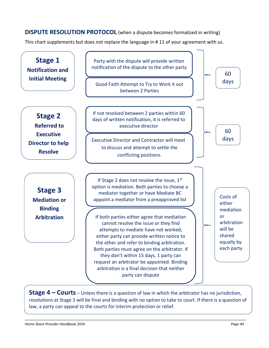<span id="page-44-0"></span>**DISPUTE RESOLUTION PROTOCOL** (when a dispute becomes formalized in writing)

This chart supplements but does not replace the language in # 11 of your agreement with us.



**Stage 4 – Courts** – Unless there is a question of law in which the arbitrator has no jurisdiction, resolutions at Stage 3 will be final and binding with no option to take to court. If there is a question of law, a party can appeal to the courts for interim protection or relief.